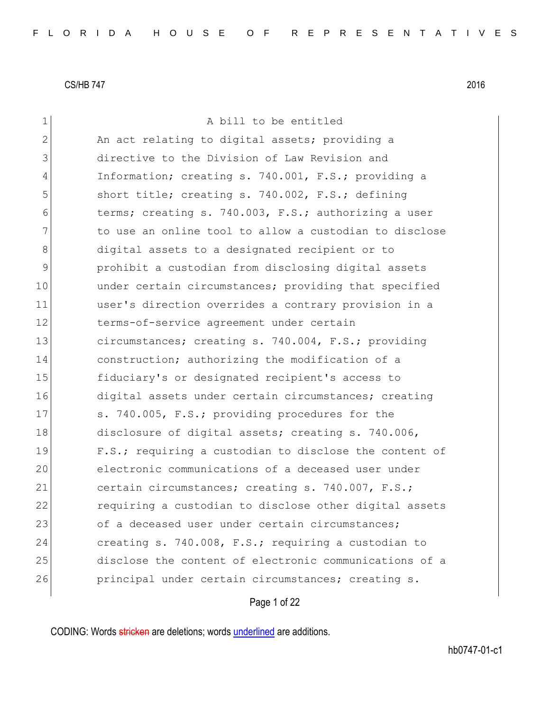| 1  | A bill to be entitled                                  |
|----|--------------------------------------------------------|
| 2  | An act relating to digital assets; providing a         |
| 3  | directive to the Division of Law Revision and          |
| 4  | Information; creating s. 740.001, F.S.; providing a    |
| 5  | short title; creating s. 740.002, F.S.; defining       |
| 6  | terms; creating s. 740.003, F.S.; authorizing a user   |
| 7  | to use an online tool to allow a custodian to disclose |
| 8  | digital assets to a designated recipient or to         |
| 9  | prohibit a custodian from disclosing digital assets    |
| 10 | under certain circumstances; providing that specified  |
| 11 | user's direction overrides a contrary provision in a   |
| 12 | terms-of-service agreement under certain               |
| 13 | circumstances; creating s. 740.004, F.S.; providing    |
| 14 | construction; authorizing the modification of a        |
| 15 | fiduciary's or designated recipient's access to        |
| 16 | digital assets under certain circumstances; creating   |
| 17 | s. 740.005, F.S.; providing procedures for the         |
| 18 | disclosure of digital assets; creating s. 740.006,     |
| 19 | F.S.; requiring a custodian to disclose the content of |
| 20 | electronic communications of a deceased user under     |
| 21 | certain circumstances; creating s. 740.007, F.S.;      |
| 22 | requiring a custodian to disclose other digital assets |
| 23 | of a deceased user under certain circumstances;        |
| 24 | creating s. 740.008, F.S.; requiring a custodian to    |
| 25 | disclose the content of electronic communications of a |
| 26 | principal under certain circumstances; creating s.     |
|    |                                                        |

Page 1 of 22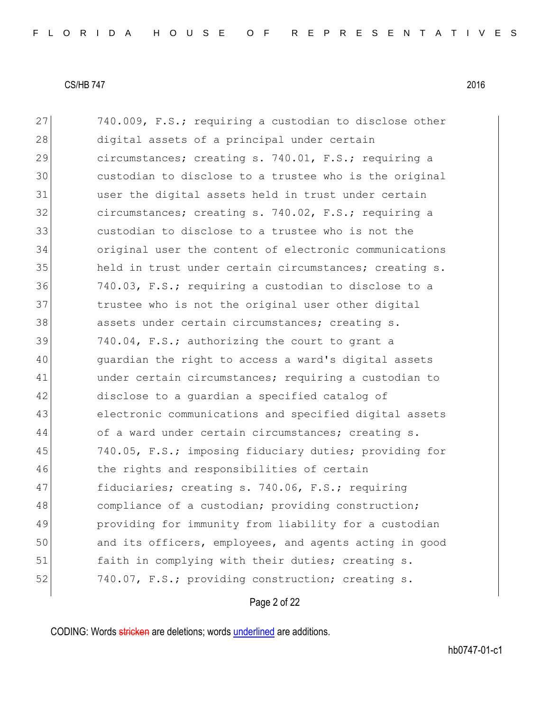27 740.009, F.S.; requiring a custodian to disclose other 28 digital assets of a principal under certain 29 circumstances; creating s. 740.01, F.S.; requiring a 30 custodian to disclose to a trustee who is the original 31 user the digital assets held in trust under certain 32 circumstances; creating s. 740.02, F.S.; requiring a 33 custodian to disclose to a trustee who is not the 34 original user the content of electronic communications 35 held in trust under certain circumstances; creating s. 36 740.03, F.S.; requiring a custodian to disclose to a 37 trustee who is not the original user other digital 38 assets under certain circumstances; creating s. 39 740.04, F.S.; authorizing the court to grant a 40 guardian the right to access a ward's digital assets 41 under certain circumstances; requiring a custodian to 42 disclose to a quardian a specified catalog of 43 electronic communications and specified digital assets 44 of a ward under certain circumstances; creating s. 45 740.05, F.S.; imposing fiduciary duties; providing for 46 the rights and responsibilities of certain 47 fiduciaries; creating s. 740.06, F.S.; requiring 48 compliance of a custodian; providing construction; 49 providing for immunity from liability for a custodian 50 and its officers, employees, and agents acting in good 51 faith in complying with their duties; creating s. 52 740.07, F.S.; providing construction; creating s.

Page 2 of 22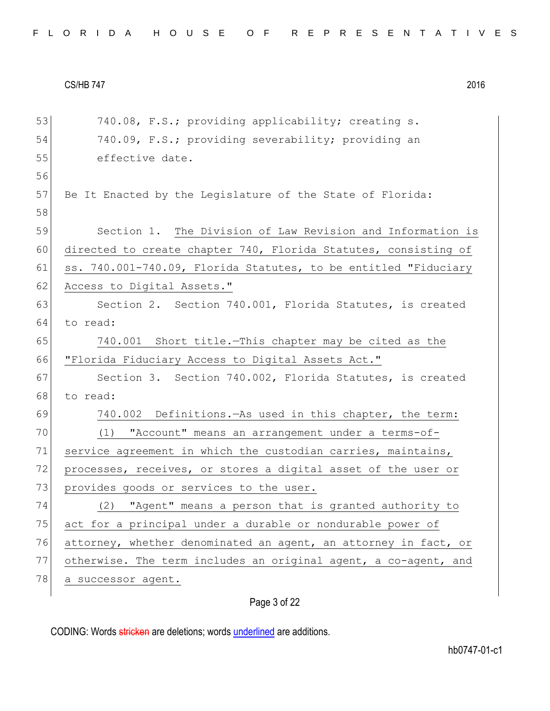| 53 | 740.08, F.S.; providing applicability; creating s.              |
|----|-----------------------------------------------------------------|
| 54 | 740.09, F.S.; providing severability; providing an              |
| 55 | effective date.                                                 |
| 56 |                                                                 |
| 57 | Be It Enacted by the Legislature of the State of Florida:       |
| 58 |                                                                 |
| 59 | Section 1. The Division of Law Revision and Information is      |
| 60 | directed to create chapter 740, Florida Statutes, consisting of |
| 61 | ss. 740.001-740.09, Florida Statutes, to be entitled "Fiduciary |
| 62 | Access to Digital Assets."                                      |
| 63 | Section 2. Section 740.001, Florida Statutes, is created        |
| 64 | to read:                                                        |
| 65 | 740.001 Short title. This chapter may be cited as the           |
| 66 | "Florida Fiduciary Access to Digital Assets Act."               |
| 67 | Section 3. Section 740.002, Florida Statutes, is created        |
| 68 | to read:                                                        |
| 69 | 740.002 Definitions. As used in this chapter, the term:         |
| 70 | "Account" means an arrangement under a terms-of-<br>(1)         |
| 71 | service agreement in which the custodian carries, maintains,    |
| 72 | processes, receives, or stores a digital asset of the user or   |
| 73 | provides goods or services to the user.                         |
| 74 | "Agent" means a person that is granted authority to<br>(2)      |
| 75 | act for a principal under a durable or nondurable power of      |
| 76 | attorney, whether denominated an agent, an attorney in fact, or |
| 77 | otherwise. The term includes an original agent, a co-agent, and |
| 78 | a successor agent.                                              |
|    | Page 3 of 22                                                    |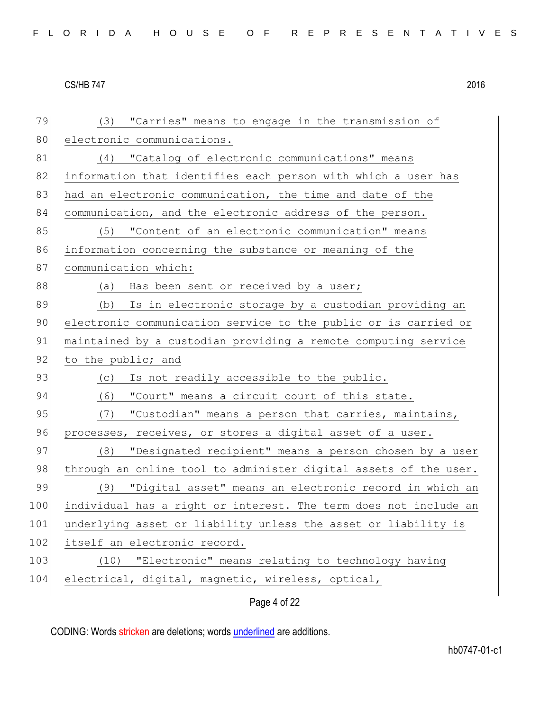| 79  | "Carries" means to engage in the transmission of<br>(3)          |
|-----|------------------------------------------------------------------|
| 80  | electronic communications.                                       |
| 81  | "Catalog of electronic communications" means<br>(4)              |
| 82  | information that identifies each person with which a user has    |
| 83  | had an electronic communication, the time and date of the        |
| 84  | communication, and the electronic address of the person.         |
| 85  | (5) "Content of an electronic communication" means               |
| 86  | information concerning the substance or meaning of the           |
| 87  | communication which:                                             |
| 88  | (a) Has been sent or received by a user;                         |
| 89  | Is in electronic storage by a custodian providing an<br>(b)      |
| 90  | electronic communication service to the public or is carried or  |
| 91  | maintained by a custodian providing a remote computing service   |
| 92  | to the public; and                                               |
| 93  | Is not readily accessible to the public.<br>(C)                  |
| 94  | "Court" means a circuit court of this state.<br>(6)              |
| 95  | "Custodian" means a person that carries, maintains,<br>(7)       |
| 96  | processes, receives, or stores a digital asset of a user.        |
| 97  | "Designated recipient" means a person chosen by a user<br>(8)    |
| 98  | through an online tool to administer digital assets of the user. |
| 99  | (9) "Digital asset" means an electronic record in which an       |
| 100 | individual has a right or interest. The term does not include an |
| 101 | underlying asset or liability unless the asset or liability is   |
| 102 | itself an electronic record.                                     |
| 103 | "Electronic" means relating to technology having<br>(10)         |
| 104 | electrical, digital, magnetic, wireless, optical,                |
|     | Page 4 of 22                                                     |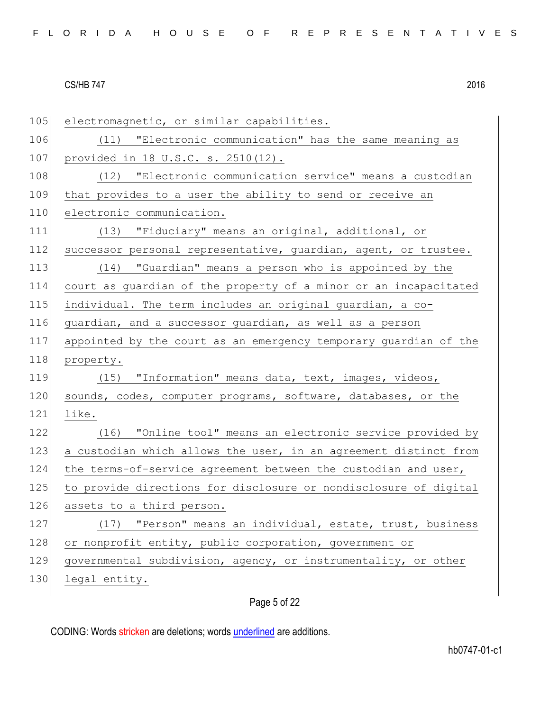| FLORIDA HOUSE OF REPRESENTATIVES |  |  |  |  |  |  |  |  |  |  |  |  |  |  |  |  |  |  |  |  |  |  |  |  |  |  |  |  |  |  |  |
|----------------------------------|--|--|--|--|--|--|--|--|--|--|--|--|--|--|--|--|--|--|--|--|--|--|--|--|--|--|--|--|--|--|--|
|----------------------------------|--|--|--|--|--|--|--|--|--|--|--|--|--|--|--|--|--|--|--|--|--|--|--|--|--|--|--|--|--|--|--|

| 105 | electromagnetic, or similar capabilities.                        |
|-----|------------------------------------------------------------------|
| 106 | (11) "Electronic communication" has the same meaning as          |
| 107 | provided in 18 U.S.C. s. 2510(12).                               |
| 108 | (12) "Electronic communication service" means a custodian        |
| 109 | that provides to a user the ability to send or receive an        |
| 110 | electronic communication.                                        |
| 111 | (13) "Fiduciary" means an original, additional, or               |
| 112 | successor personal representative, guardian, agent, or trustee.  |
| 113 | (14) "Guardian" means a person who is appointed by the           |
| 114 | court as guardian of the property of a minor or an incapacitated |
| 115 | individual. The term includes an original guardian, a co-        |
| 116 | guardian, and a successor guardian, as well as a person          |
| 117 | appointed by the court as an emergency temporary guardian of the |
| 118 | property.                                                        |
| 119 | (15) "Information" means data, text, images, videos,             |
| 120 | sounds, codes, computer programs, software, databases, or the    |
| 121 | like.                                                            |
| 122 | (16) "Online tool" means an electronic service provided by       |
| 123 | a custodian which allows the user, in an agreement distinct from |
| 124 | the terms-of-service agreement between the custodian and user,   |
| 125 | to provide directions for disclosure or nondisclosure of digital |
| 126 | assets to a third person.                                        |
| 127 | "Person" means an individual, estate, trust, business<br>(17)    |
| 128 | or nonprofit entity, public corporation, government or           |
| 129 | governmental subdivision, agency, or instrumentality, or other   |
| 130 | legal entity.                                                    |
|     |                                                                  |

Page 5 of 22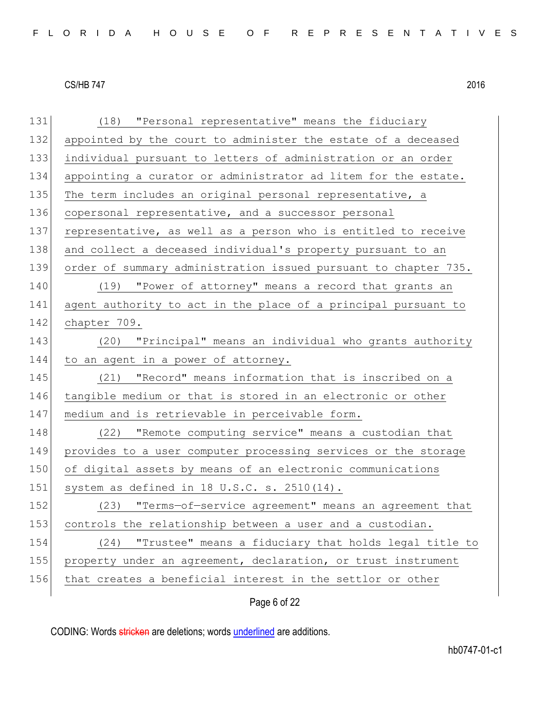| 131 | (18) "Personal representative" means the fiduciary              |
|-----|-----------------------------------------------------------------|
| 132 | appointed by the court to administer the estate of a deceased   |
| 133 | individual pursuant to letters of administration or an order    |
| 134 | appointing a curator or administrator ad litem for the estate.  |
| 135 | The term includes an original personal representative, a        |
| 136 | copersonal representative, and a successor personal             |
| 137 | representative, as well as a person who is entitled to receive  |
| 138 | and collect a deceased individual's property pursuant to an     |
| 139 | order of summary administration issued pursuant to chapter 735. |
| 140 | (19) "Power of attorney" means a record that grants an          |
| 141 | agent authority to act in the place of a principal pursuant to  |
| 142 | chapter 709.                                                    |
| 143 | (20) "Principal" means an individual who grants authority       |
| 144 | to an agent in a power of attorney.                             |
| 145 | (21) "Record" means information that is inscribed on a          |
| 146 | tangible medium or that is stored in an electronic or other     |
| 147 | medium and is retrievable in perceivable form.                  |
| 148 | "Remote computing service" means a custodian that<br>(22)       |
| 149 | provides to a user computer processing services or the storage  |
| 150 | of digital assets by means of an electronic communications      |
| 151 | system as defined in 18 U.S.C. s. 2510(14).                     |
| 152 | (23) "Terms-of-service agreement" means an agreement that       |
| 153 | controls the relationship between a user and a custodian.       |
| 154 | "Trustee" means a fiduciary that holds legal title to<br>(24)   |
| 155 | property under an agreement, declaration, or trust instrument   |
| 156 | that creates a beneficial interest in the settlor or other      |
|     |                                                                 |

Page 6 of 22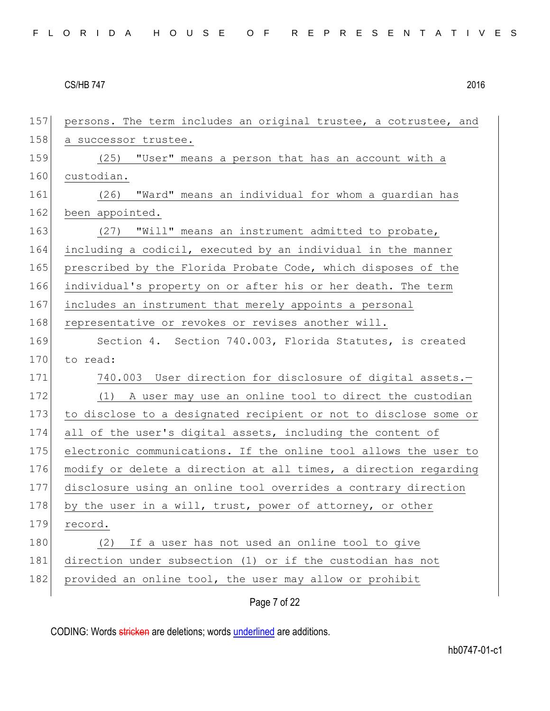| 157 | persons. The term includes an original trustee, a cotrustee, and |
|-----|------------------------------------------------------------------|
| 158 | a successor trustee.                                             |
| 159 | (25) "User" means a person that has an account with a            |
| 160 | custodian.                                                       |
| 161 | (26) "Ward" means an individual for whom a guardian has          |
| 162 | been appointed.                                                  |
| 163 | (27) "Will" means an instrument admitted to probate,             |
| 164 | including a codicil, executed by an individual in the manner     |
| 165 | prescribed by the Florida Probate Code, which disposes of the    |
| 166 | individual's property on or after his or her death. The term     |
| 167 | includes an instrument that merely appoints a personal           |
| 168 | representative or revokes or revises another will.               |
| 169 | Section 4. Section 740.003, Florida Statutes, is created         |
| 170 | to read:                                                         |
| 171 | 740.003 User direction for disclosure of digital assets.-        |
| 172 | (1) A user may use an online tool to direct the custodian        |
| 173 | to disclose to a designated recipient or not to disclose some or |
| 174 | all of the user's digital assets, including the content of       |
| 175 | electronic communications. If the online tool allows the user to |
| 176 | modify or delete a direction at all times, a direction regarding |
| 177 | disclosure using an online tool overrides a contrary direction   |
| 178 | by the user in a will, trust, power of attorney, or other        |
| 179 | record.                                                          |
| 180 | If a user has not used an online tool to give<br>(2)             |
| 181 | direction under subsection (1) or if the custodian has not       |
| 182 | provided an online tool, the user may allow or prohibit          |
|     | Page 7 of 22                                                     |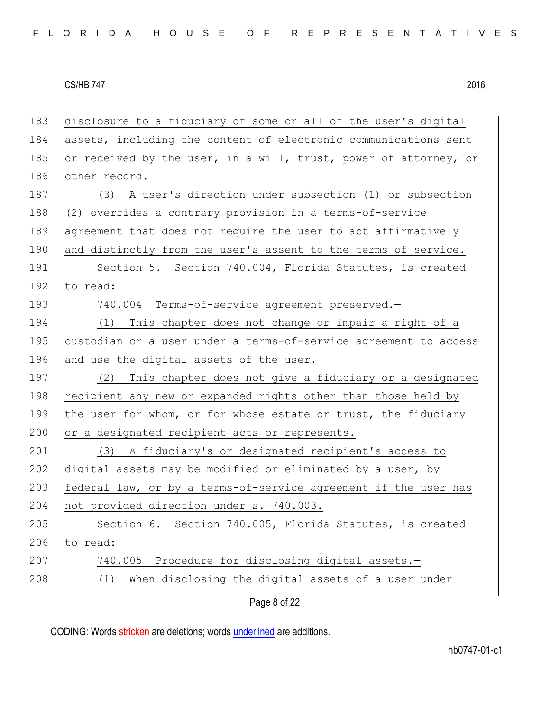183 disclosure to a fiduciary of some or all of the user's digital 184 assets, including the content of electronic communications sent 185 or received by the user, in a will, trust, power of attorney, or 186 other record. 187 (3) A user's direction under subsection (1) or subsection 188 (2) overrides a contrary provision in a terms-of-service 189 agreement that does not require the user to act affirmatively 190 and distinctly from the user's assent to the terms of service. 191 Section 5. Section 740.004, Florida Statutes, is created 192 to read: 193 740.004 Terms-of-service agreement preserved.-194 (1) This chapter does not change or impair a right of a 195 custodian or a user under a terms-of-service agreement to access 196 and use the digital assets of the user. 197 (2) This chapter does not give a fiduciary or a designated 198 recipient any new or expanded rights other than those held by 199 the user for whom, or for whose estate or trust, the fiduciary 200 or a designated recipient acts or represents. 201 (3) A fiduciary's or designated recipient's access to 202 digital assets may be modified or eliminated by a user, by 203 federal law, or by a terms-of-service agreement if the user has 204 not provided direction under s. 740.003. 205 Section 6. Section 740.005, Florida Statutes, is created 206 to read: 207 740.005 Procedure for disclosing digital assets.-208 (1) When disclosing the digital assets of a user under

Page 8 of 22

CODING: Words stricken are deletions; words underlined are additions.

hb0747-01-c1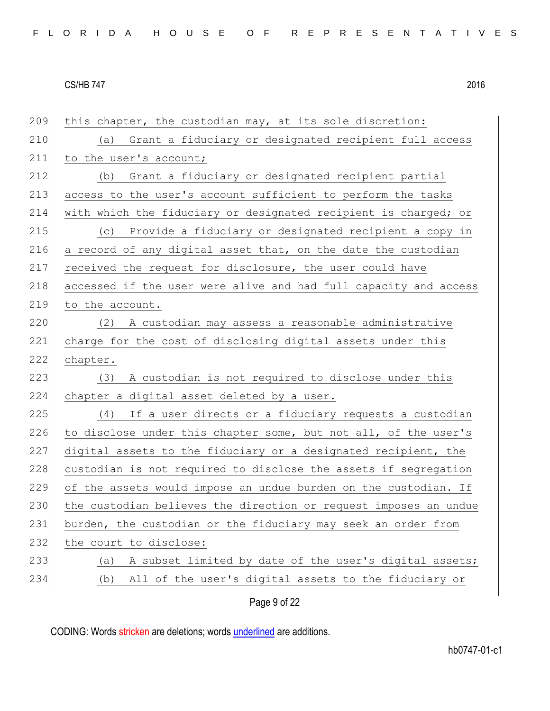| 209 | this chapter, the custodian may, at its sole discretion:         |
|-----|------------------------------------------------------------------|
| 210 | Grant a fiduciary or designated recipient full access<br>(a)     |
| 211 | to the user's account;                                           |
| 212 | Grant a fiduciary or designated recipient partial<br>(b)         |
| 213 | access to the user's account sufficient to perform the tasks     |
| 214 | with which the fiduciary or designated recipient is charged; or  |
| 215 | Provide a fiduciary or designated recipient a copy in<br>(C)     |
| 216 | a record of any digital asset that, on the date the custodian    |
| 217 | received the request for disclosure, the user could have         |
| 218 | accessed if the user were alive and had full capacity and access |
| 219 | to the account.                                                  |
| 220 | (2) A custodian may assess a reasonable administrative           |
| 221 | charge for the cost of disclosing digital assets under this      |
| 222 | chapter.                                                         |
| 223 | A custodian is not required to disclose under this<br>(3)        |
| 224 | chapter a digital asset deleted by a user.                       |
| 225 | If a user directs or a fiduciary requests a custodian<br>(4)     |
| 226 | to disclose under this chapter some, but not all, of the user's  |
| 227 | digital assets to the fiduciary or a designated recipient, the   |
| 228 | custodian is not required to disclose the assets if segregation  |
| 229 | of the assets would impose an undue burden on the custodian. If  |
| 230 | the custodian believes the direction or request imposes an undue |
| 231 | burden, the custodian or the fiduciary may seek an order from    |
| 232 | the court to disclose:                                           |
| 233 | A subset limited by date of the user's digital assets;<br>(a)    |
| 234 | All of the user's digital assets to the fiduciary or<br>(b)      |
|     | Page 9 of 22                                                     |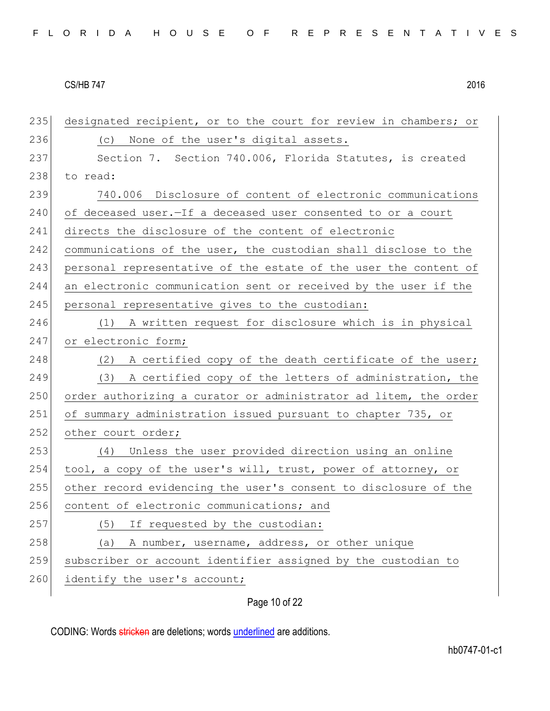| 235 | designated recipient, or to the court for review in chambers; or |
|-----|------------------------------------------------------------------|
| 236 | (c) None of the user's digital assets.                           |
| 237 | Section 7. Section 740.006, Florida Statutes, is created         |
| 238 | to read:                                                         |
| 239 | 740.006 Disclosure of content of electronic communications       |
| 240 | of deceased user. - If a deceased user consented to or a court   |
| 241 | directs the disclosure of the content of electronic              |
| 242 | communications of the user, the custodian shall disclose to the  |
| 243 | personal representative of the estate of the user the content of |
| 244 | an electronic communication sent or received by the user if the  |
| 245 | personal representative gives to the custodian:                  |
| 246 | (1) A written request for disclosure which is in physical        |
| 247 | or electronic form;                                              |
| 248 | (2) A certified copy of the death certificate of the user;       |
| 249 | (3) A certified copy of the letters of administration, the       |
| 250 | order authorizing a curator or administrator ad litem, the order |
| 251 | of summary administration issued pursuant to chapter 735, or     |
| 252 | other court order;                                               |
| 253 | (4) Unless the user provided direction using an online           |
| 254 | tool, a copy of the user's will, trust, power of attorney, or    |
| 255 | other record evidencing the user's consent to disclosure of the  |
| 256 | content of electronic communications; and                        |
| 257 | If requested by the custodian:<br>(5)                            |
| 258 | A number, username, address, or other unique<br>(a)              |
| 259 | subscriber or account identifier assigned by the custodian to    |
| 260 | identify the user's account;                                     |
|     |                                                                  |

Page 10 of 22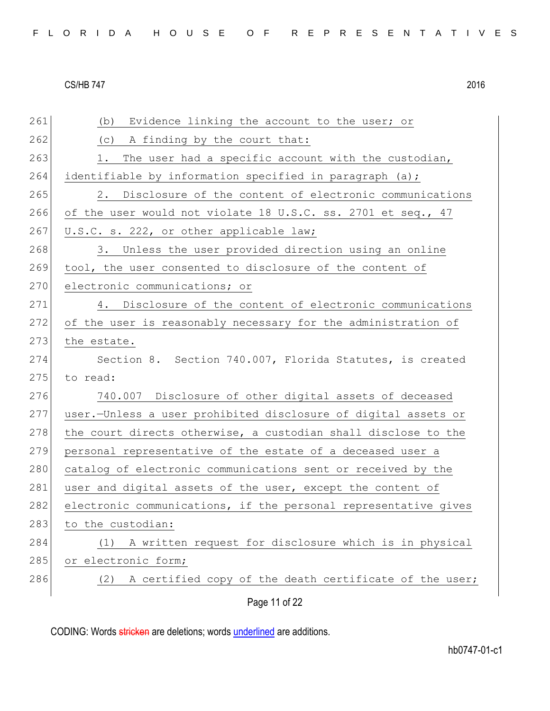Page 11 of 22 261 (b) Evidence linking the account to the user; or  $262$  (c) A finding by the court that: 263 1. The user had a specific account with the custodian, 264 identifiable by information specified in paragraph (a); 265 2. Disclosure of the content of electronic communications 266 of the user would not violate 18 U.S.C. ss. 2701 et seq., 47 267 U.S.C. s. 222, or other applicable law; 268 3. Unless the user provided direction using an online 269 tool, the user consented to disclosure of the content of 270 electronic communications; or 271 4. Disclosure of the content of electronic communications 272 of the user is reasonably necessary for the administration of 273 the estate. 274 Section 8. Section 740.007, Florida Statutes, is created  $275$  to read: 276 740.007 Disclosure of other digital assets of deceased 277 user.—Unless a user prohibited disclosure of digital assets or 278 the court directs otherwise, a custodian shall disclose to the 279 personal representative of the estate of a deceased user a 280 catalog of electronic communications sent or received by the 281 user and digital assets of the user, except the content of 282 electronic communications, if the personal representative gives 283 to the custodian: 284 (1) A written request for disclosure which is in physical 285 or electronic form; 286  $(2)$  A certified copy of the death certificate of the user;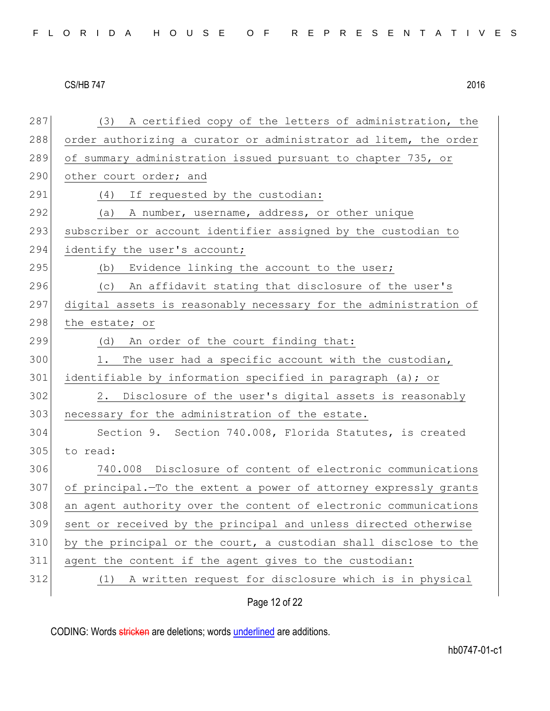| 287 | (3) A certified copy of the letters of administration, the       |
|-----|------------------------------------------------------------------|
| 288 | order authorizing a curator or administrator ad litem, the order |
| 289 | of summary administration issued pursuant to chapter 735, or     |
| 290 | other court order; and                                           |
| 291 | (4) If requested by the custodian:                               |
| 292 | (a) A number, username, address, or other unique                 |
| 293 | subscriber or account identifier assigned by the custodian to    |
| 294 | identify the user's account;                                     |
| 295 | (b) Evidence linking the account to the user;                    |
| 296 | (c) An affidavit stating that disclosure of the user's           |
| 297 | digital assets is reasonably necessary for the administration of |
| 298 | the estate; or                                                   |
| 299 | (d) An order of the court finding that:                          |
| 300 | The user had a specific account with the custodian,<br>1.        |
| 301 | identifiable by information specified in paragraph (a); or       |
| 302 | 2. Disclosure of the user's digital assets is reasonably         |
| 303 | necessary for the administration of the estate.                  |
| 304 | Section 9. Section 740.008, Florida Statutes, is created         |
| 305 | to read:                                                         |
| 306 | 740.008 Disclosure of content of electronic communications       |
| 307 | of principal. To the extent a power of attorney expressly grants |
| 308 | an agent authority over the content of electronic communications |
| 309 | sent or received by the principal and unless directed otherwise  |
| 310 | by the principal or the court, a custodian shall disclose to the |
| 311 | agent the content if the agent gives to the custodian:           |
| 312 | A written request for disclosure which is in physical<br>(1)     |
|     |                                                                  |

Page 12 of 22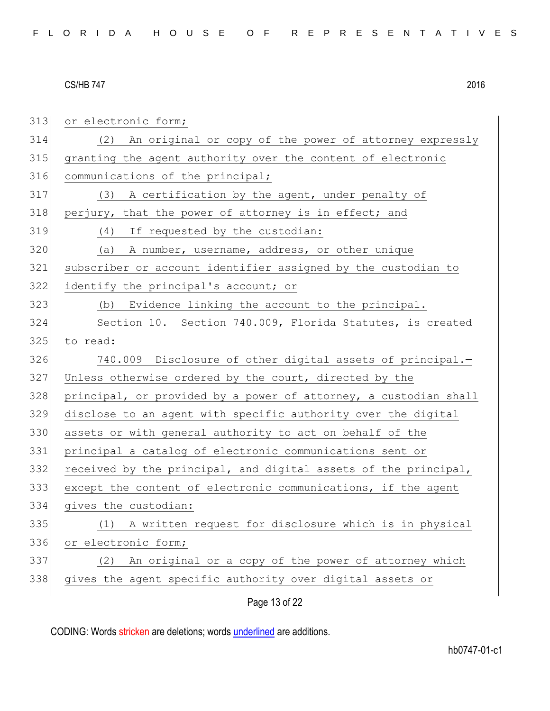| 313 | or electronic form;                                              |
|-----|------------------------------------------------------------------|
| 314 | (2) An original or copy of the power of attorney expressly       |
| 315 | granting the agent authority over the content of electronic      |
| 316 | communications of the principal;                                 |
| 317 | (3) A certification by the agent, under penalty of               |
| 318 | perjury, that the power of attorney is in effect; and            |
| 319 | (4) If requested by the custodian:                               |
| 320 | (a) A number, username, address, or other unique                 |
| 321 | subscriber or account identifier assigned by the custodian to    |
| 322 | identify the principal's account; or                             |
| 323 | (b) Evidence linking the account to the principal.               |
| 324 | Section 10. Section 740.009, Florida Statutes, is created        |
| 325 | to read:                                                         |
| 326 | 740.009 Disclosure of other digital assets of principal.-        |
| 327 | Unless otherwise ordered by the court, directed by the           |
| 328 | principal, or provided by a power of attorney, a custodian shall |
| 329 | disclose to an agent with specific authority over the digital    |
| 330 | assets or with general authority to act on behalf of the         |
| 331 | principal a catalog of electronic communications sent or         |
| 332 | received by the principal, and digital assets of the principal,  |
| 333 | except the content of electronic communications, if the agent    |
| 334 | gives the custodian:                                             |
| 335 | A written request for disclosure which is in physical<br>(1)     |
| 336 | or electronic form;                                              |
| 337 | An original or a copy of the power of attorney which<br>(2)      |
| 338 | gives the agent specific authority over digital assets or        |
|     | Page 13 of 22                                                    |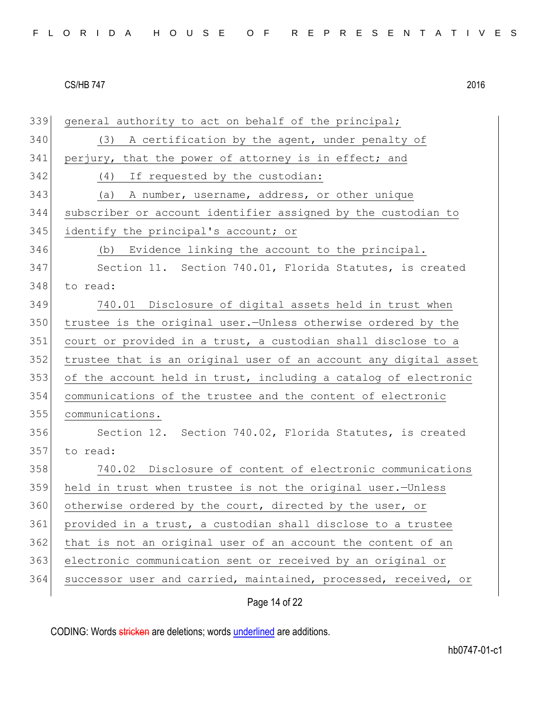| 339 | general authority to act on behalf of the principal;             |
|-----|------------------------------------------------------------------|
| 340 | (3) A certification by the agent, under penalty of               |
| 341 | perjury, that the power of attorney is in effect; and            |
| 342 | (4) If requested by the custodian:                               |
| 343 | (a) A number, username, address, or other unique                 |
| 344 | subscriber or account identifier assigned by the custodian to    |
| 345 | identify the principal's account; or                             |
| 346 | (b) Evidence linking the account to the principal.               |
| 347 | Section 11. Section 740.01, Florida Statutes, is created         |
| 348 | to read:                                                         |
| 349 | 740.01 Disclosure of digital assets held in trust when           |
| 350 | trustee is the original user. Unless otherwise ordered by the    |
| 351 | court or provided in a trust, a custodian shall disclose to a    |
| 352 | trustee that is an original user of an account any digital asset |
| 353 | of the account held in trust, including a catalog of electronic  |
| 354 | communications of the trustee and the content of electronic      |
| 355 | communications.                                                  |
| 356 | Section 12. Section 740.02, Florida Statutes, is created         |
| 357 | to read:                                                         |
| 358 | 740.02 Disclosure of content of electronic communications        |
| 359 | held in trust when trustee is not the original user.-Unless      |
| 360 | otherwise ordered by the court, directed by the user, or         |
| 361 | provided in a trust, a custodian shall disclose to a trustee     |
| 362 | that is not an original user of an account the content of an     |
| 363 | electronic communication sent or received by an original or      |
| 364 | successor user and carried, maintained, processed, received, or  |
|     | Page 14 of 22                                                    |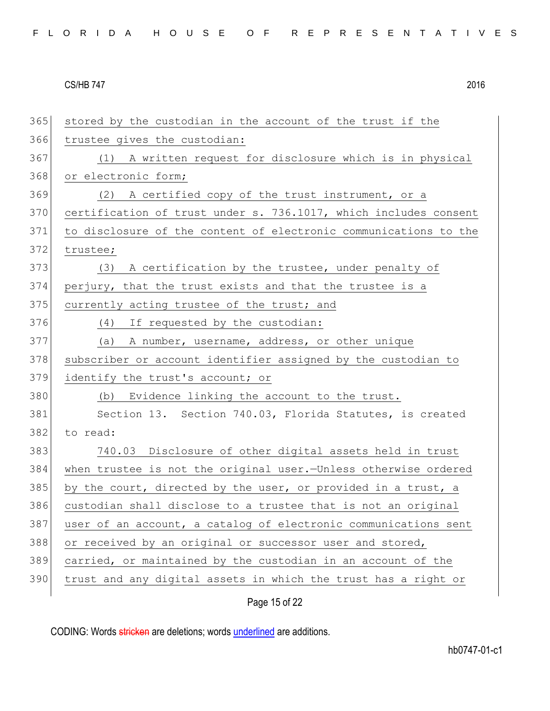| 365 | stored by the custodian in the account of the trust if the       |
|-----|------------------------------------------------------------------|
| 366 | trustee gives the custodian:                                     |
| 367 | (1) A written request for disclosure which is in physical        |
| 368 | or electronic form;                                              |
| 369 | (2) A certified copy of the trust instrument, or a               |
| 370 | certification of trust under s. 736.1017, which includes consent |
| 371 | to disclosure of the content of electronic communications to the |
| 372 | trustee;                                                         |
| 373 | (3) A certification by the trustee, under penalty of             |
| 374 | perjury, that the trust exists and that the trustee is a         |
| 375 | currently acting trustee of the trust; and                       |
| 376 | (4) If requested by the custodian:                               |
| 377 | (a) A number, username, address, or other unique                 |
| 378 | subscriber or account identifier assigned by the custodian to    |
| 379 | identify the trust's account; or                                 |
| 380 | (b) Evidence linking the account to the trust.                   |
| 381 | Section 13. Section 740.03, Florida Statutes, is created         |
| 382 | to read:                                                         |
| 383 | 740.03 Disclosure of other digital assets held in trust          |
| 384 | when trustee is not the original user. Unless otherwise ordered  |
| 385 | by the court, directed by the user, or provided in a trust, a    |
| 386 | custodian shall disclose to a trustee that is not an original    |
| 387 | user of an account, a catalog of electronic communications sent  |
| 388 | or received by an original or successor user and stored,         |
| 389 | carried, or maintained by the custodian in an account of the     |
| 390 | trust and any digital assets in which the trust has a right or   |
|     | Page 15 of 22                                                    |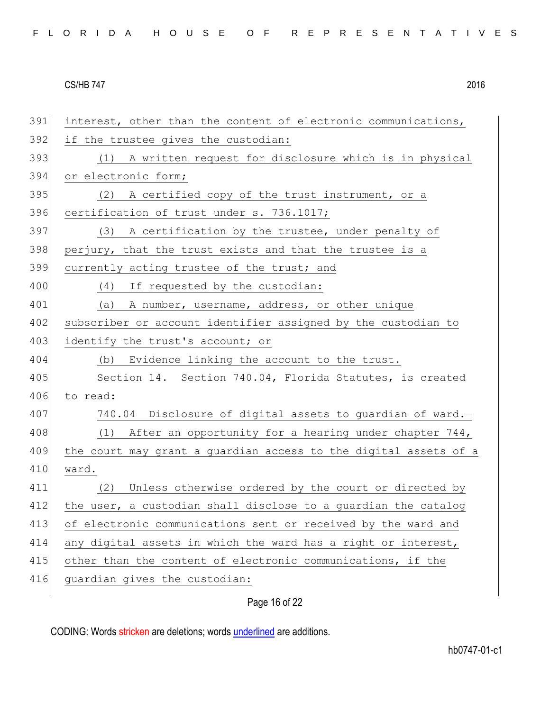Page 16 of 22 391 interest, other than the content of electronic communications, 392 if the trustee gives the custodian: 393 (1) A written request for disclosure which is in physical 394 or electronic form; 395 (2) A certified copy of the trust instrument, or a 396 certification of trust under s. 736.1017; 397 (3) A certification by the trustee, under penalty of 398 perjury, that the trust exists and that the trustee is a 399 currently acting trustee of the trust; and 400 (4) If requested by the custodian: 401 (a) A number, username, address, or other unique 402 subscriber or account identifier assigned by the custodian to 403 identify the trust's account; or 404 (b) Evidence linking the account to the trust. 405 Section 14. Section 740.04, Florida Statutes, is created 406 to read: 407 740.04 Disclosure of digital assets to quardian of ward. 408 (1) After an opportunity for a hearing under chapter 744, 409 the court may grant a guardian access to the digital assets of a 410 ward. 411 (2) Unless otherwise ordered by the court or directed by 412 the user, a custodian shall disclose to a quardian the catalog 413 of electronic communications sent or received by the ward and 414 any digital assets in which the ward has a right or interest, 415 other than the content of electronic communications, if the 416 guardian gives the custodian: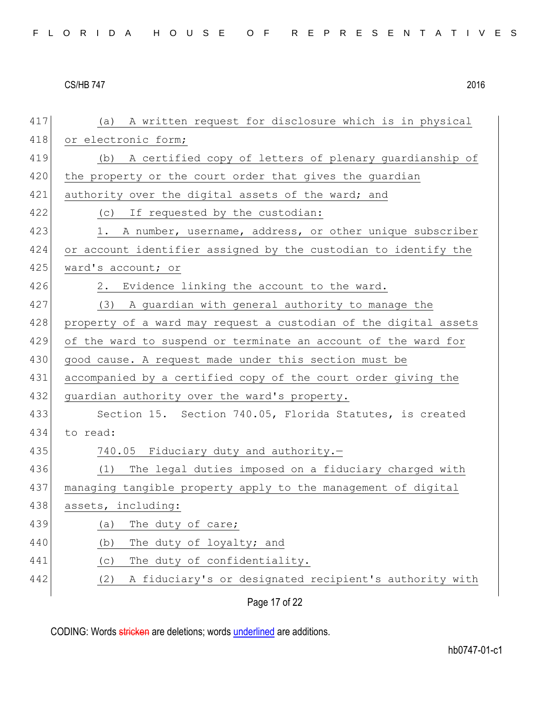| 417 | (a) A written request for disclosure which is in physical        |
|-----|------------------------------------------------------------------|
| 418 | or electronic form;                                              |
| 419 | (b) A certified copy of letters of plenary guardianship of       |
| 420 | the property or the court order that gives the guardian          |
| 421 | authority over the digital assets of the ward; and               |
| 422 | (c) If requested by the custodian:                               |
| 423 | 1. A number, username, address, or other unique subscriber       |
| 424 | or account identifier assigned by the custodian to identify the  |
| 425 | ward's account; or                                               |
| 426 | 2. Evidence linking the account to the ward.                     |
| 427 | (3) A guardian with general authority to manage the              |
| 428 | property of a ward may request a custodian of the digital assets |
| 429 | of the ward to suspend or terminate an account of the ward for   |
| 430 | good cause. A request made under this section must be            |
| 431 | accompanied by a certified copy of the court order giving the    |
| 432 | guardian authority over the ward's property.                     |
| 433 | Section 15. Section 740.05, Florida Statutes, is created         |
| 434 | to read:                                                         |
| 435 | 740.05 Fiduciary duty and authority.-                            |
| 436 | (1) The legal duties imposed on a fiduciary charged with         |
| 437 | managing tangible property apply to the management of digital    |
| 438 | assets, including:                                               |
| 439 | The duty of care;<br>(a)                                         |
| 440 | The duty of loyalty; and<br>(b)                                  |
| 441 | The duty of confidentiality.<br>(C)                              |
| 442 | A fiduciary's or designated recipient's authority with<br>(2)    |
|     | Page 17 of 22                                                    |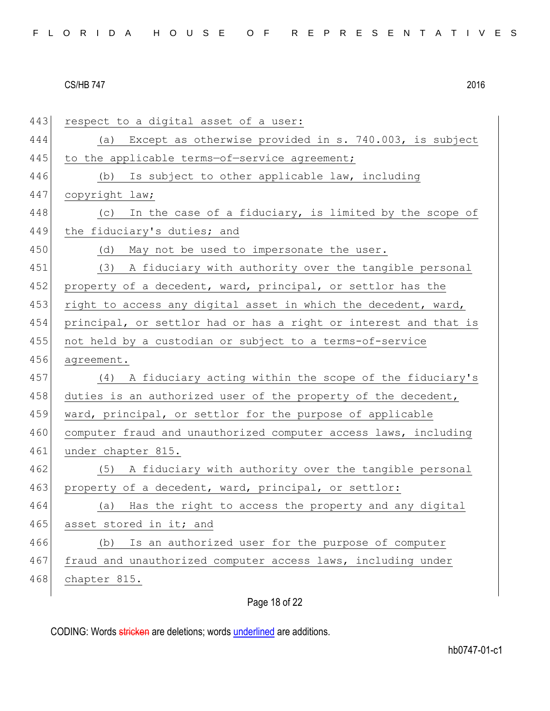| 443 | respect to a digital asset of a user:                            |
|-----|------------------------------------------------------------------|
| 444 | (a) Except as otherwise provided in s. 740.003, is subject       |
| 445 | to the applicable terms-of-service agreement;                    |
| 446 | (b) Is subject to other applicable law, including                |
| 447 | copyright law;                                                   |
| 448 | In the case of a fiduciary, is limited by the scope of<br>(C)    |
| 449 | the fiduciary's duties; and                                      |
| 450 | (d)<br>May not be used to impersonate the user.                  |
| 451 | (3) A fiduciary with authority over the tangible personal        |
| 452 | property of a decedent, ward, principal, or settlor has the      |
| 453 | right to access any digital asset in which the decedent, ward,   |
| 454 | principal, or settlor had or has a right or interest and that is |
| 455 | not held by a custodian or subject to a terms-of-service         |
| 456 | agreement.                                                       |
| 457 | (4) A fiduciary acting within the scope of the fiduciary's       |
| 458 | duties is an authorized user of the property of the decedent,    |
| 459 | ward, principal, or settlor for the purpose of applicable        |
| 460 | computer fraud and unauthorized computer access laws, including  |
| 461 | under chapter 815.                                               |
| 462 | (5) A fiduciary with authority over the tangible personal        |
| 463 | property of a decedent, ward, principal, or settlor:             |
| 464 | (a) Has the right to access the property and any digital         |
| 465 | asset stored in it; and                                          |
| 466 | Is an authorized user for the purpose of computer<br>(b)         |
| 467 | fraud and unauthorized computer access laws, including under     |
| 468 | chapter 815.                                                     |
|     |                                                                  |

Page 18 of 22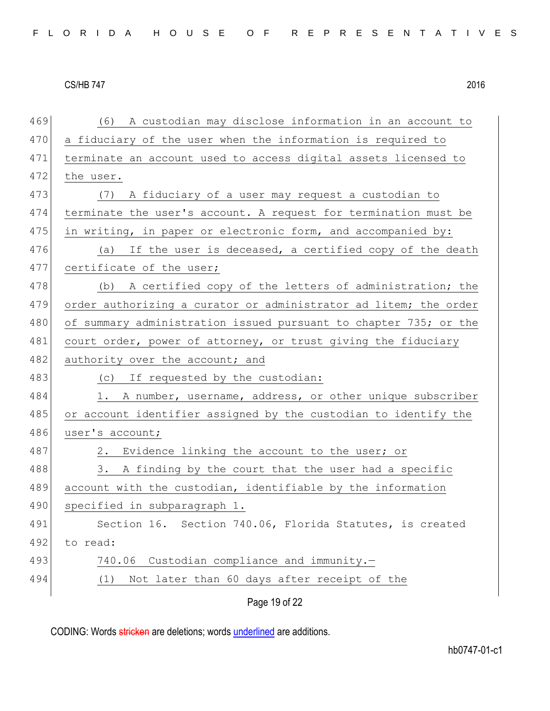Page 19 of 22 469 (6) A custodian may disclose information in an account to 470 a fiduciary of the user when the information is required to 471 terminate an account used to access digital assets licensed to 472 the user. 473 (7) A fiduciary of a user may request a custodian to 474 terminate the user's account. A request for termination must be 475 in writing, in paper or electronic form, and accompanied by: 476 (a) If the user is deceased, a certified copy of the death 477 certificate of the user; 478 (b) A certified copy of the letters of administration; the 479 order authorizing a curator or administrator ad litem; the order 480 of summary administration issued pursuant to chapter 735; or the 481 court order, power of attorney, or trust giving the fiduciary 482 authority over the account; and 483 (c) If requested by the custodian: 484 1. A number, username, address, or other unique subscriber 485 or account identifier assigned by the custodian to identify the 486 user's account; 487 2. Evidence linking the account to the user; or 488 3. A finding by the court that the user had a specific 489 account with the custodian, identifiable by the information 490 specified in subparagraph 1. 491 Section 16. Section 740.06, Florida Statutes, is created 492 to read: 493 740.06 Custodian compliance and immunity.— 494 (1) Not later than 60 days after receipt of the

CODING: Words stricken are deletions; words underlined are additions.

hb0747-01-c1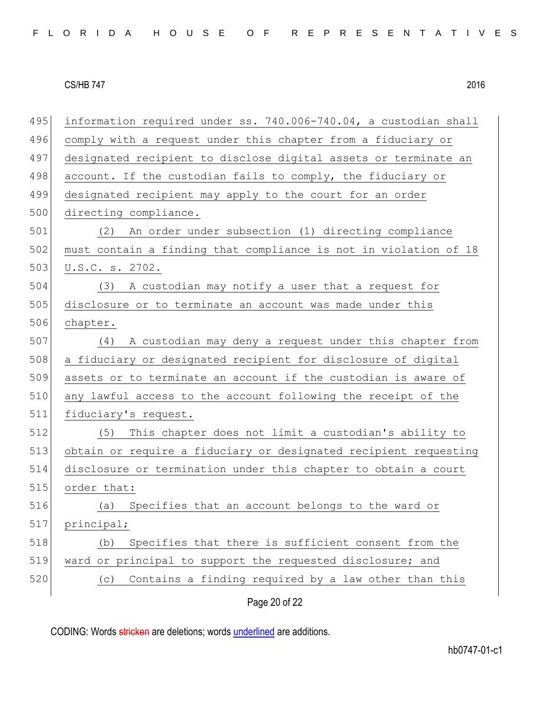| 495 | information required under ss. 740.006-740.04, a custodian shall |
|-----|------------------------------------------------------------------|
| 496 | comply with a request under this chapter from a fiduciary or     |
| 497 | designated recipient to disclose digital assets or terminate an  |
| 498 | account. If the custodian fails to comply, the fiduciary or      |
| 499 | designated recipient may apply to the court for an order         |
| 500 | directing compliance.                                            |
| 501 | An order under subsection (1) directing compliance<br>(2)        |
| 502 | must contain a finding that compliance is not in violation of 18 |
| 503 | U.S.C. s. 2702.                                                  |
| 504 | A custodian may notify a user that a request for<br>(3)          |
| 505 | disclosure or to terminate an account was made under this        |
| 506 | chapter.                                                         |
| 507 | (4)<br>A custodian may deny a request under this chapter from    |
| 508 | a fiduciary or designated recipient for disclosure of digital    |
| 509 | assets or to terminate an account if the custodian is aware of   |
| 510 | any lawful access to the account following the receipt of the    |
| 511 | fiduciary's request.                                             |
| 512 | This chapter does not limit a custodian's ability to<br>(5)      |
| 513 | obtain or require a fiduciary or designated recipient requesting |
| 514 | disclosure or termination under this chapter to obtain a court   |
| 515 | order that:                                                      |
| 516 | Specifies that an account belongs to the ward or<br>(a)          |
| 517 | principal;                                                       |
| 518 | Specifies that there is sufficient consent from the<br>(b)       |
| 519 | ward or principal to support the requested disclosure; and       |
| 520 | Contains a finding required by a law other than this<br>(C)      |
|     | Page 20 of 22                                                    |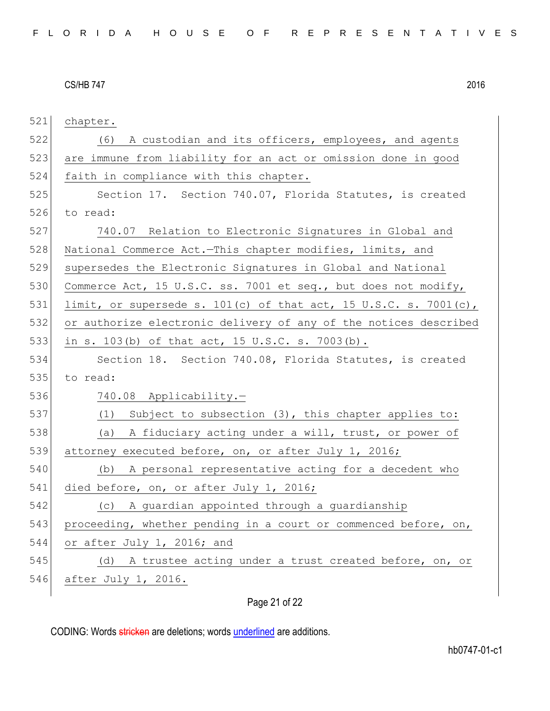521 chapter.

522 (6) A custodian and its officers, employees, and agents 523 are immune from liability for an act or omission done in good 524 faith in compliance with this chapter. 525 Section 17. Section 740.07, Florida Statutes, is created 526 to read: 527 740.07 Relation to Electronic Signatures in Global and 528 National Commerce Act.-This chapter modifies, limits, and 529 supersedes the Electronic Signatures in Global and National 530 Commerce Act, 15 U.S.C. ss. 7001 et seq., but does not modify, 531 limit, or supersede s. 101(c) of that act, 15 U.S.C. s. 7001(c), 532 or authorize electronic delivery of any of the notices described 533 in s. 103(b) of that act, 15 U.S.C. s. 7003(b). 534 Section 18. Section 740.08, Florida Statutes, is created 535 to read: 536 740.08 Applicability.— 537 (1) Subject to subsection (3), this chapter applies to: 538 (a) A fiduciary acting under a will, trust, or power of 539 attorney executed before, on, or after July 1, 2016; 540 (b) A personal representative acting for a decedent who 541 died before, on, or after July 1, 2016; 542 (c) A guardian appointed through a guardianship 543 proceeding, whether pending in a court or commenced before, on, 544 or after July 1, 2016; and 545 (d) A trustee acting under a trust created before, on, or 546 after July 1, 2016.

# Page 21 of 22